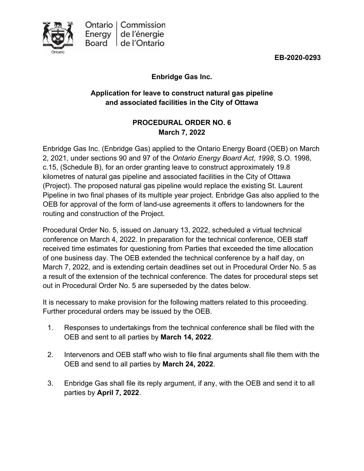**EB-2020-0293**

**Enbridge Gas Inc.**

## **Application for leave to construct natural gas pipeline and associated facilities in the City of Ottawa**

## **PROCEDURAL ORDER NO. 6 March 7, 2022**

Enbridge Gas Inc. (Enbridge Gas) applied to the Ontario Energy Board (OEB) on March 2, 2021, under sections 90 and 97 of the *Ontario Energy Board Act*, *1998*, S.O. 1998, c.15, (Schedule B), for an order granting leave to construct approximately 19.8 kilometres of natural gas pipeline and associated facilities in the City of Ottawa (Project). The proposed natural gas pipeline would replace the existing St. Laurent Pipeline in two final phases of its multiple year project. Enbridge Gas also applied to the OEB for approval of the form of land-use agreements it offers to landowners for the routing and construction of the Project.

Procedural Order No. 5, issued on January 13, 2022, scheduled a virtual technical conference on March 4, 2022. In preparation for the technical conference, OEB staff received time estimates for questioning from Parties that exceeded the time allocation of one business day. The OEB extended the technical conference by a half day, on March 7, 2022, and is extending certain deadlines set out in Procedural Order No. 5 as a result of the extension of the technical conference. The dates for procedural steps set out in Procedural Order No. 5 are superseded by the dates below.

It is necessary to make provision for the following matters related to this proceeding. Further procedural orders may be issued by the OEB.

- 1. Responses to undertakings from the technical conference shall be filed with the OEB and sent to all parties by **March 14, 2022**.
- 2. Intervenors and OEB staff who wish to file final arguments shall file them with the OEB and send to all parties by **March 24, 2022**.
- 3. Enbridge Gas shall file its reply argument, if any, with the OEB and send it to all parties by **April 7, 2022**.